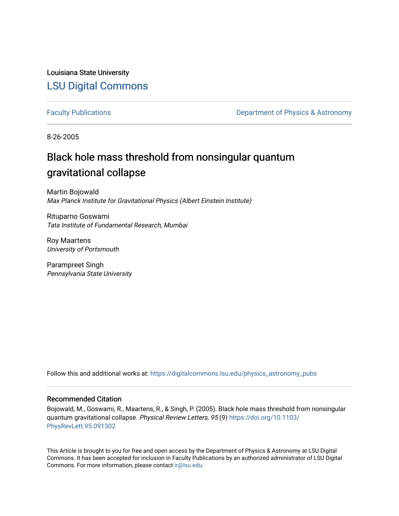Louisiana State University [LSU Digital Commons](https://digitalcommons.lsu.edu/)

[Faculty Publications](https://digitalcommons.lsu.edu/physics_astronomy_pubs) **Exercise 2 and Table 2 and Table 2 and Table 2 and Table 2 and Table 2 and Table 2 and Table 2 and Table 2 and Table 2 and Table 2 and Table 2 and Table 2 and Table 2 and Table 2 and Table 2 and Table** 

8-26-2005

## Black hole mass threshold from nonsingular quantum gravitational collapse

Martin Bojowald Max Planck Institute for Gravitational Physics (Albert Einstein Institute)

Rituparno Goswami Tata Institute of Fundamental Research, Mumbai

Roy Maartens University of Portsmouth

Parampreet Singh Pennsylvania State University

Follow this and additional works at: [https://digitalcommons.lsu.edu/physics\\_astronomy\\_pubs](https://digitalcommons.lsu.edu/physics_astronomy_pubs?utm_source=digitalcommons.lsu.edu%2Fphysics_astronomy_pubs%2F5097&utm_medium=PDF&utm_campaign=PDFCoverPages) 

## Recommended Citation

Bojowald, M., Goswami, R., Maartens, R., & Singh, P. (2005). Black hole mass threshold from nonsingular quantum gravitational collapse. Physical Review Letters, 95 (9) [https://doi.org/10.1103/](https://doi.org/10.1103/PhysRevLett.95.091302) [PhysRevLett.95.091302](https://doi.org/10.1103/PhysRevLett.95.091302)

This Article is brought to you for free and open access by the Department of Physics & Astronomy at LSU Digital Commons. It has been accepted for inclusion in Faculty Publications by an authorized administrator of LSU Digital Commons. For more information, please contact [ir@lsu.edu](mailto:ir@lsu.edu).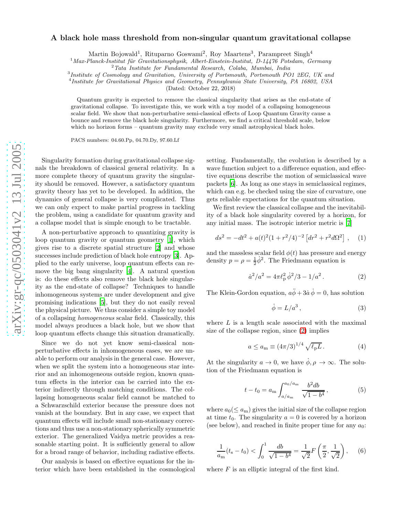## arXiv:gr-qc/0503041v2 13 Jul 2005 [arXiv:gr-qc/0503041v2 13 Jul 2005](http://arxiv.org/abs/gr-qc/0503041v2)

## A black hole mass threshold from non-singular quantum gravitational collapse

Martin Bojowald<sup>1</sup>, Rituparno Goswami<sup>2</sup>, Roy Maartens<sup>3</sup>, Parampreet Singh<sup>4</sup>

 $^{1}$ Max-Planck-Institut für Gravitationsphysik, Albert-Einstein-Institut, D-14476 Potsdam, Germany  $^{2}$ Tata Institute for Fundamental Research, Colaba, Mumbai, India

 $^{3}$ Institute of Cosmology and Gravitation, University of Portsmouth, Portsmouth PO1 2EG, UK and  $^{4}$  Levitation of Physics and Gravitan Property Property of the University PA 16808, UK

Institute for Gravitational Physics and Geometry, Pennsylvania State University, PA 16802, USA

(Dated: October 22, 2018)

Quantum gravity is expected to remove the classical singularity that arises as the end-state of gravitational collapse. To investigate this, we work with a toy model of a collapsing homogeneous scalar field. We show that non-perturbative semi-classical effects of Loop Quantum Gravity cause a bounce and remove the black hole singularity. Furthermore, we find a critical threshold scale, below which no horizon forms – quantum gravity may exclude very small astrophysical black holes.

PACS numbers: 04.60.Pp, 04.70.Dy, 97.60.Lf

Singularity formation during gravitational collapse signals the breakdown of classical general relativity. In a more complete theory of quantum gravity the singularity should be removed. However, a satisfactory quantum gravity theory has yet to be developed. In addition, the dynamics of general collapse is very complicated. Thus we can only expect to make partial progress in tackling the problem, using a candidate for quantum gravity and a collapse model that is simple enough to be tractable.

A non-perturbative approach to quantizing gravity is loop quantum gravity or quantum geometry [\[1\]](#page-4-0), which gives rise to a discrete spatial structure [\[2](#page-4-1)] and whose successes include prediction of black hole entropy [\[3](#page-4-2)]. Applied to the early universe, loop quantum effects can remove the big bang singularity [\[4\]](#page-4-3). A natural question is: do these effects also remove the black hole singularity as the end-state of collapse? Techniques to handle inhomogeneous systems are under development and give promising indications [\[5\]](#page-4-4), but they do not easily reveal the physical picture. We thus consider a simple toy model of a collapsing homogeneous scalar field. Classically, this model always produces a black hole, but we show that loop quantum effects change this situation dramatically.

Since we do not yet know semi-classical nonperturbative effects in inhomogeneous cases, we are unable to perform our analysis in the general case. However, when we split the system into a homogeneous star interior and an inhomogeneous outside region, known quantum effects in the interior can be carried into the exterior indirectly through matching conditions. The collapsing homogeneous scalar field cannot be matched to a Schwarzschild exterior because the pressure does not vanish at the boundary. But in any case, we expect that quantum effects will include small non-stationary corrections and thus use a non-stationary spherically symmetric exterior. The generalized Vaidya metric provides a reasonable starting point. It is sufficiently general to allow for a broad range of behavior, including radiative effects.

Our analysis is based on effective equations for the interior which have been established in the cosmological setting. Fundamentally, the evolution is described by a wave function subject to a difference equation, and effective equations describe the motion of semiclassical wave packets [\[6\]](#page-4-5). As long as one stays in semiclassical regimes, which can e.g. be checked using the size of curvature, one gets reliable expectations for the quantum situation.

We first review the classical collapse and the inevitability of a black hole singularity covered by a horizon, for any initial mass. The isotropic interior metric is [\[7\]](#page-4-6)

$$
ds^{2} = -dt^{2} + a(t)^{2}(1 + r^{2}/4)^{-2} \left[ dr^{2} + r^{2} d\Omega^{2} \right], \quad (1)
$$

and the massless scalar field  $\phi(t)$  has pressure and energy density  $p = \rho = \frac{1}{2}\dot{\phi}^2$ . The Friedmann equation is

<span id="page-1-2"></span><span id="page-1-0"></span>
$$
\dot{a}^2/a^2 = 4\pi \ell_p^2 \dot{\phi}^2/3 - 1/a^2. \tag{2}
$$

The Klein-Gordon equation,  $a\ddot{\phi} + 3\dot{a}\dot{\phi} = 0$ , has solution

<span id="page-1-3"></span><span id="page-1-1"></span>
$$
\dot{\phi} = L/a^3, \tag{3}
$$

where L is a length scale associated with the maximal size of the collapse region, since [\(2\)](#page-1-0) implies

$$
a \le a_{\rm m} \equiv (4\pi/3)^{1/4} \sqrt{\ell_{\rm p}L} \,. \tag{4}
$$

At the singularity  $a \to 0$ , we have  $\dot{\phi}, \rho \to \infty$ . The solution of the Friedmann equation is

$$
t - t_0 = a_m \int_{a/a_m}^{a_0/a_m} \frac{b^2 db}{\sqrt{1 - b^4}},
$$
 (5)

where  $a_0 \leq a_m$ ) gives the initial size of the collapse region at time  $t_0$ . The singularity  $a = 0$  is covered by a horizon (see below), and reached in finite proper time for any  $a_0$ :

$$
\frac{1}{a_{\rm m}}(t_{\rm s}-t_0) < \int_0^1 \frac{db}{\sqrt{1-b^4}} = \frac{1}{\sqrt{2}} F\left(\frac{\pi}{2}, \frac{1}{\sqrt{2}}\right), \quad (6)
$$

where  $F$  is an elliptic integral of the first kind.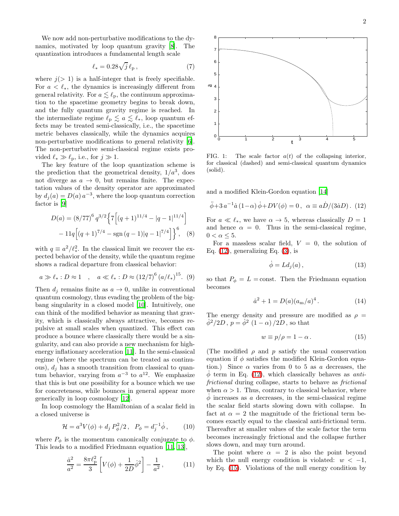We now add non-perturbative modifications to the dynamics, motivated by loop quantum gravity [\[8\]](#page-4-7). The quantization introduces a fundamental length scale

$$
\ell_* = 0.28\sqrt{j} \,\ell_{\rm p} \,,\tag{7}
$$

where  $j(> 1)$  is a half-integer that is freely specifiable. For  $a < \ell_*,$  the dynamics is increasingly different from general relativity. For  $a \lesssim \ell_{\rm p}$ , the continuum approximation to the spacetime geometry begins to break down, and the fully quantum gravity regime is reached. In the intermediate regime  $\ell_p \leq a \leq \ell_*$ , loop quantum effects may be treated semi-classically, i.e., the spacetime metric behaves classically, while the dynamics acquires non-perturbative modifications to general relativity [\[6\]](#page-4-5). The non-perturbative semi-classical regime exists provided  $\ell_* \gg \ell_{\rm p}$ , i.e., for  $j \gg 1$ .

The key feature of the loop quantization scheme is the prediction that the geometrical density,  $1/a^3$ , does not diverge as  $a \to 0$ , but remains finite. The expectation values of the density operator are approximated by  $d_j(a) = D(a) a^{-3}$ , where the loop quantum correction factor is [\[9](#page-4-8)]

$$
D(a) = (8/77)^6 q^{3/2} \left\{ 7 \left[ (q+1)^{11/4} - |q-1|^{11/4} \right] -11q \left[ (q+1)^{7/4} - \text{sgn} (q-1) |q-1|^{7/4} \right] \right\}^6, \quad (8)
$$

<span id="page-2-5"></span>with  $q \equiv a^2/\ell_*^2$ . In the classical limit we recover the expected behavior of the density, while the quantum regime shows a radical departure from classical behavior:

$$
a \gg \ell_* : D \approx 1 \quad , \quad a \ll \ell_* : D \approx (12/7)^6 (a/\ell_*)^{15}.
$$
 (9)

Then  $d_j$  remains finite as  $a \to 0$ , unlike in conventional quantum cosmology, thus evading the problem of the bigbang singularity in a closed model [\[10\]](#page-4-9). Intuitively, one can think of the modified behavior as meaning that gravity, which is classically always attractive, becomes repulsive at small scales when quantized. This effect can produce a bounce where classically there would be a singularity, and can also provide a new mechanism for highenergy inflationary acceleration [\[11\]](#page-4-10). In the semi-classical regime (where the spectrum can be treated as continuous),  $d_i$  has a smooth transition from classical to quantum behavior, varying from  $a^{-3}$  to  $a^{12}$ . We emphasize that this is but one possibility for a bounce which we use for concreteness, while bounces in general appear more generically in loop cosmology [\[12\]](#page-4-11).

In loop cosmology the Hamiltonian of a scalar field in a closed universe is

$$
\mathcal{H} = a^3 V(\phi) + d_j P_{\phi}^2/2 \,, \ \ P_{\phi} = d_j^{-1} \dot{\phi} \,, \tag{10}
$$

where  $P_{\phi}$  is the momentum canonically conjugate to  $\phi$ . This leads to a modified Friedmann equation [\[11](#page-4-10), [13](#page-4-12)],

$$
\frac{\dot{a}^2}{a^2} = \frac{8\pi\ell_p^2}{3} \left[ V(\phi) + \frac{1}{2D} \dot{\phi}^2 \right] - \frac{1}{a^2} \,, \tag{11}
$$



<span id="page-2-4"></span>FIG. 1: The scale factor  $a(t)$  of the collapsing interior, for classical (dashed) and semi-classical quantum dynamics (solid).

and a modified Klein-Gordon equation [\[14](#page-4-13)]

<span id="page-2-0"></span>
$$
\ddot{\phi} + 3 a^{-1} \dot{a} (1 - \alpha) \dot{\phi} + DV(\phi) = 0 \,, \ \alpha \equiv a \dot{D} / (3 \dot{a} D) \,. (12)
$$

For  $a \ll l_*$ , we have  $\alpha \to 5$ , whereas classically  $D = 1$ and hence  $\alpha = 0$ . Thus in the semi-classical regime,  $0 < \alpha \leq 5$ .

For a massless scalar field,  $V = 0$ , the solution of Eq.  $(12)$ , generalizing Eq.  $(3)$ , is

<span id="page-2-2"></span>
$$
\dot{\phi} = Ld_j(a),\tag{13}
$$

<span id="page-2-3"></span>so that  $P_{\phi} = L = \text{const.}$  Then the Friedmann equation becomes

<span id="page-2-1"></span>
$$
\dot{a}^2 + 1 = D(a)(a_m/a)^4. \tag{14}
$$

The energy density and pressure are modified as  $\rho =$  $\dot{\phi}^2/2D$ ,  $p = \dot{\phi}^2 (1 - \alpha) / 2D$ , so that

$$
w \equiv p/\rho = 1 - \alpha. \tag{15}
$$

(The modified  $\rho$  and  $p$  satisfy the usual conservation equation if  $\phi$  satisfies the modified Klein-Gordon equation.) Since  $\alpha$  varies from 0 to 5 as a decreases, the  $\phi$  term in Eq. [\(12\)](#page-2-0), which classically behaves as antifrictional during collapse, starts to behave as frictional when  $\alpha > 1$ . Thus, contrary to classical behavior, where  $\dot{\phi}$  increases as a decreases, in the semi-classical regime the scalar field starts slowing down with collapse. In fact at  $\alpha = 2$  the magnitude of the frictional term becomes exactly equal to the classical anti-frictional term. Thereafter at smaller values of the scale factor the term becomes increasingly frictional and the collapse further slows down, and may turn around.

The point where  $\alpha = 2$  is also the point beyond which the null energy condition is violated:  $w < -1$ , by Eq. [\(15\)](#page-2-1). Violations of the null energy condition by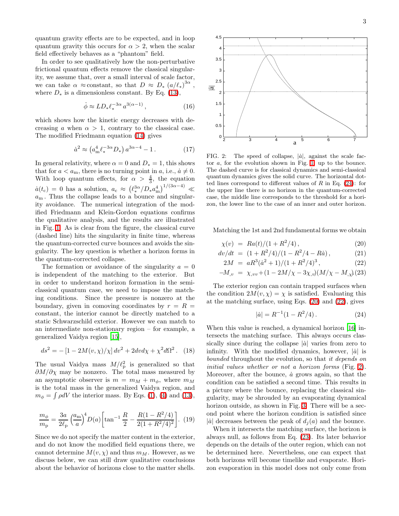quantum gravity effects are to be expected, and in loop quantum gravity this occurs for  $\alpha > 2$ , when the scalar field effectively behaves as a "phantom" field.

In order to see qualitatively how the non-perturbative frictional quantum effects remove the classical singularity, we assume that, over a small interval of scale factor, we can take  $\alpha \approx$  constant, so that  $D \approx D_* (a/\ell_*)^{3\alpha}$ , where  $D_*$  is a dimensionless constant. By Eq. [\(13\)](#page-2-2),

$$
\dot{\phi} \approx LD_* \ell_*^{-3\alpha} a^{3(\alpha - 1)}, \qquad (16)
$$

which shows how the kinetic energy decreases with decreasing a when  $\alpha > 1$ , contrary to the classical case. The modified Friedmann equation [\(14\)](#page-2-3) gives

$$
\dot{a}^2 \approx \left( a_m^4 \ell_*^{-3\alpha} D_* \right) a^{3\alpha - 4} - 1. \tag{17}
$$

In general relativity, where  $\alpha = 0$  and  $D_* = 1$ , this shows that for  $a < a_m$ , there is no turning point in a, i.e.,  $\dot{a} \neq 0$ . With loop quantum effects, for  $\alpha > \frac{4}{3}$ , the equation  $\dot{a}(t_c) = 0$  has a solution,  $a_c \approx (\ell_{*}^{3\alpha}/D_* a_m^4)^{1/(3\alpha-4)} \ll$  $a_m$ . Thus the collapse leads to a bounce and singularity avoidance. The numerical integration of the modified Friedmann and Klein-Gordon equations confirms the qualitative analysis, and the results are illustrated in Fig. [1.](#page-2-4) As is clear from the figure, the classical curve (dashed line) hits the singularity in finite time, whereas the quantum-corrected curve bounces and avoids the singularity. The key question is whether a horizon forms in the quantum-corrected collapse.

The formation or avoidance of the singularity  $a = 0$ is independent of the matching to the exterior. But in order to understand horizon formation in the semiclassical quantum case, we need to impose the matching conditions. Since the pressure is nonzero at the boundary, given in comoving coordinates by  $r = R =$ constant, the interior cannot be directly matched to a static Schwarzschild exterior. However we can match to an intermediate non-stationary region – for example, a generalized Vaidya region [\[15](#page-4-14)],

$$
ds^{2} = -[1 - 2M(v, \chi)/\chi] dv^{2} + 2dv d\chi + \chi^{2} d\Omega^{2}.
$$
 (18)

The usual Vaidya mass  $M/\ell_p^2$  is generalized so that  $\partial M/\partial \chi$  may be nonzero. The total mass measured by an asymptotic observer is  $m = m<sub>M</sub> + m<sub>\phi</sub>$ , where  $m<sub>M</sub>$ is the total mass in the generalized Vaidya region, and  $m_{\phi} = \int \rho dV$  the interior mass. By Eqs. [\(1\)](#page-1-2), [\(4\)](#page-1-3) and [\(13\)](#page-2-2),

$$
\frac{m_{\phi}}{m_{\rm p}} = \frac{3a}{2\ell_{\rm p}} \left(\frac{a_{\rm m}}{a}\right)^4 D(a) \left[ \tan^{-1} \frac{R}{2} - \frac{R(1 - R^2/4)}{2(1 + R^2/4)^2} \right]. \tag{19}
$$

Since we do not specify the matter content in the exterior, and do not know the modified field equations there, we cannot determine  $M(v, \chi)$  and thus  $m_M$ . However, as we discuss below, we can still draw qualitative conclusions about the behavior of horizons close to the matter shells.



<span id="page-3-2"></span>FIG. 2: The speed of collapse,  $|\dot{a}|$ , against the scale factor a, for the evolution shown in Fig. [1,](#page-2-4) up to the bounce. The dashed curve is for classical dynamics and semi-classical quantum dynamics gives the solid curve. The horizontal dotted lines correspond to different values of  $R$  in Eq. [\(24\)](#page-3-0): for the upper line there is no horizon in the quantum-corrected case, the middle line corresponds to the threshold for a horizon, the lower line to the case of an inner and outer horizon.

<span id="page-3-1"></span>Matching the 1st and 2nd fundamental forms we obtain

$$
\chi(v) = Ra(t)/(1 + R^2/4), \qquad (20)
$$

$$
dv/dt = (1 + R^2/4)/(1 - R^2/4 - Ra), \qquad (21)
$$

$$
2M = aR^3(\dot{a}^2 + 1)/(1 + R^2/4)^3, \tag{22}
$$

$$
-M_{,v} = \chi_{,vv} + (1 - 2M/\chi - 3\chi_{,v})(M/\chi - M_{,\chi})(23)
$$

The exterior region can contain trapped surfaces when the condition  $2M(v, \chi) = \chi$  is satisfied. Evaluating this at the matching surface, using Eqs. [\(20\)](#page-3-1) and [\(22\)](#page-3-1), gives

<span id="page-3-0"></span>
$$
|\dot{a}| = R^{-1}(1 - R^2/4). \tag{24}
$$

When this value is reached, a dynamical horizon [\[16\]](#page-4-15) intersects the matching surface. This always occurs classically since during the collapse  $|\dot{a}|$  varies from zero to infinity. With the modified dynamics, however,  $|\dot{a}|$  is bounded throughout the evolution, so that it depends on initial values whether or not a horizon forms (Fig. [2\)](#page-3-2). Moreover, after the bounce,  $\dot{a}$  grows again, so that the condition can be satisfied a second time. This results in a picture where the bounce, replacing the classical singularity, may be shrouded by an evaporating dynamical horizon outside, as shown in Fig. [3.](#page-4-16) There will be a second point where the horizon condition is satisfied since |a<sup>|</sup> decreases between the peak of  $d_i(a)$  and the bounce.

When it intersects the matching surface, the horizon is always null, as follows from Eq. [\(23\)](#page-3-1). Its later behavior depends on the details of the outer region, which can not be determined here. Nevertheless, one can expect that both horizons will become timelike and evaporate. Horizon evaporation in this model does not only come from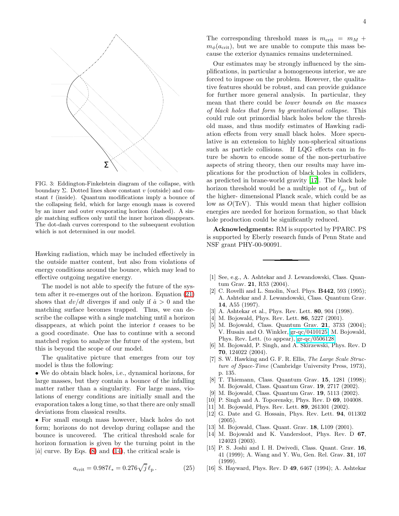

<span id="page-4-16"></span>FIG. 3: Eddington-Finkelstein diagram of the collapse, with boundary  $\Sigma$ . Dotted lines show constant v (outside) and constant  $t$  (inside). Quantum modifications imply a bounce of the collapsing field, which for large enough mass is covered by an inner and outer evaporating horizon (dashed). A single matching suffices only until the inner horizon disappears. The dot-dash curves correspond to the subsequent evolution which is not determined in our model.

Hawking radiation, which may be included effectively in the outside matter content, but also from violations of energy conditions around the bounce, which may lead to effective outgoing negative energy.

The model is not able to specify the future of the system after it re-emerges out of the horizon. Equation [\(21\)](#page-3-1) shows that  $dv/dt$  diverges if and only if  $\dot{a} > 0$  and the matching surface becomes trapped. Thus, we can describe the collapse with a single matching until a horizon disappears, at which point the interior  $t$  ceases to be a good coordinate. One has to continue with a second matched region to analyze the future of the system, but this is beyond the scope of our model.

The qualitative picture that emerges from our toy model is thus the following:

• We do obtain black holes, i.e., dynamical horizons, for large masses, but they contain a bounce of the infalling matter rather than a singularity. For large mass, violations of energy conditions are initially small and the evaporation takes a long time, so that there are only small deviations from classical results.

• For small enough mass however, black holes do not form; horizons do not develop during collapse and the bounce is uncovered. The critical threshold scale for horizon formation is given by the turning point in the  $|\dot{a}|$  curve. By Eqs. [\(8\)](#page-2-5) and [\(14\)](#page-2-3), the critical scale is

$$
a_{\rm crit} = 0.987 \ell_* = 0.276 \sqrt{j} \ell_{\rm p} \,. \tag{25}
$$

The corresponding threshold mass is  $m_{\text{crit}} = m_M +$  $m_{\phi}(a_{\rm crit})$ , but we are unable to compute this mass because the exterior dynamics remains undetermined.

Our estimates may be strongly influenced by the simplifications, in particular a homogeneous interior, we are forced to impose on the problem. However, the qualitative features should be robust, and can provide guidance for further more general analysis. In particular, they mean that there could be lower bounds on the masses of black holes that form by gravitational collapse. This could rule out primordial black holes below the threshold mass, and thus modify estimates of Hawking radiation effects from very small black holes. More speculative is an extension to highly non-spherical situations such as particle collisions. If LQG effects can in future be shown to encode some of the non-perturbative aspects of string theory, then our results may have implications for the production of black holes in colliders, as predicted in brane-world gravity [\[17](#page-5-0)]. The black hole horizon threshold would be a multiple not of  $\ell_p$ , but of the higher- dimensional Planck scale, which could be as low as  $O(TeV)$ . This would mean that higher collision energies are needed for horizon formation, so that black hole production could be significantly reduced.

Acknowledgments: RM is supported by PPARC. PS is supported by Eberly research funds of Penn State and NSF grant PHY-00-90091.

- <span id="page-4-0"></span>[1] See, e.g., A. Ashtekar and J. Lewandowski, Class. Quantum Grav. 21, R53 (2004).
- <span id="page-4-1"></span>[2] C. Rovelli and L. Smolin, Nucl. Phys. **B442**, 593 (1995); A. Ashtekar and J. Lewandowski, Class. Quantum Grav. 14, A55 (1997).
- <span id="page-4-2"></span>[3] A. Ashtekar et al., Phys. Rev. Lett. **80**, 904 (1998).
- <span id="page-4-3"></span>[4] M. Bojowald, Phys. Rev. Lett. 86, 5227 (2001).
- <span id="page-4-4"></span>[5] M. Bojowald, Class. Quantum Grav. 21, 3733 (2004); V. Husain and O. Winkler, [gr-qc/0410125;](http://arxiv.org/abs/gr-qc/0410125) M. Bojowald, Phys. Rev. Lett. (to appear), [gr-qc/0506128.](http://arxiv.org/abs/gr-qc/0506128)
- <span id="page-4-5"></span>[6] M. Bojowald, P. Singh, and A. Skirzewski, Phys. Rev. D 70, 124022 (2004).
- <span id="page-4-6"></span>[7] S. W. Hawking and G. F. R. Ellis, *The Large Scale Struc*ture of Space-Time (Cambridge University Press, 1973), p. 135.
- <span id="page-4-7"></span>[8] T. Thiemann, Class. Quantum Grav. **15**, 1281 (1998); M. Bojowald, Class. Quantum Grav. 19, 2717 (2002).
- [9] M. Bojowald, Class. Quantum Grav. 19, 5113 (2002).
- [10] P. Singh and A. Toporensky, Phys. Rev. D 69, 104008.
- <span id="page-4-15"></span><span id="page-4-14"></span><span id="page-4-13"></span><span id="page-4-12"></span><span id="page-4-11"></span><span id="page-4-10"></span><span id="page-4-9"></span><span id="page-4-8"></span>[11] M. Bojowald, Phys. Rev. Lett. 89, 261301 (2002).
	- [12] G. Date and G. Hossain, Phys. Rev. Lett. 94, 011302 (2005).
	- [13] M. Bojowald, Class. Quant. Grav. 18, L109 (2001).
	- [14] M. Bojowald and K. Vandersloot, Phys. Rev. D 67, 124023 (2003).
	- [15] P. S. Joshi and I. H. Dwivedi, Class. Quant. Grav. 16, 41 (1999); A. Wang and Y. Wu, Gen. Rel. Grav. 31, 107  $(1999)$ .
	- [16] S. Hayward, Phys. Rev. D 49, 6467 (1994); A. Ashtekar